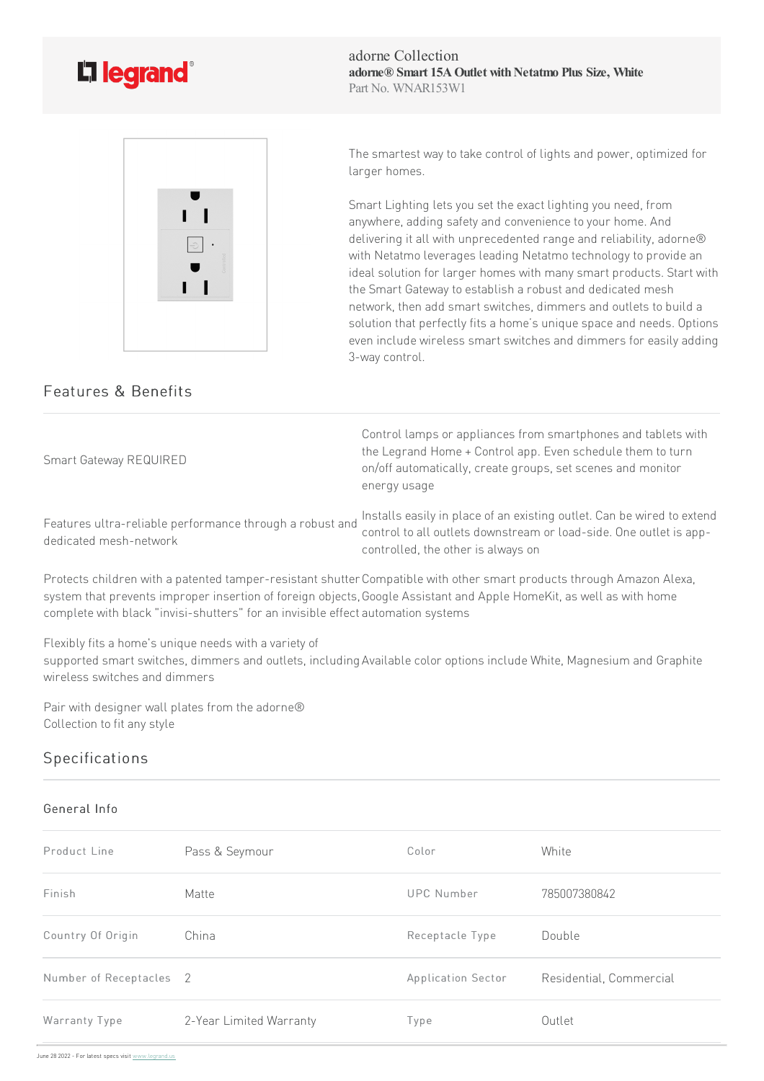

adorne Collection **adorne® Smart 15AOutlet withNetatmo Plus Size, White** Part No. WNAR153W1



The smartest way to take control of lights and power, optimized for larger homes.

Smart Lighting lets you set the exact lighting you need, from anywhere, adding safety and convenience to your home. And delivering it all with unprecedented range and reliability, adorne® with Netatmo leverages leading Netatmo technology to provide an ideal solution for larger homes with many smart products. Start with the Smart Gateway to establish a robust and dedicated mesh network, then add smart switches, dimmers and outlets to build a solution that perfectly fits a home's unique space and needs. Options even include wireless smart switches and dimmers for easily adding 3-way control.

## Features & Benefits

Smart Gateway REQUIRED

Control lamps or appliances from smartphones and tablets with the Legrand Home + Control app. Even schedule them to turn on/off automatically, create groups, set scenes and monitor energy usage

Features ultra-reliable performance through a robust and dedicated mesh-network

Installs easily in place of an existing outlet. Can be wired to extend control to all outlets downstream or load-side. One outlet is appcontrolled, the other is always on

Protects children with a patented tamper-resistant shutter Compatible with other smart products through Amazon Alexa, system that prevents improper insertion of foreign objects, Google Assistant and Apple HomeKit, as well as with home complete with black "invisi-shutters" for an invisible effect automation systems

Flexibly fits a home's unique needs with a variety of

supported smart switches, dimmers and outlets, including Available color options include White, Magnesium and Graphite wireless switches and dimmers

Pair with designer wall plates from the adorne® Collection to fit any style

## Specifications

## General Info

| Product Line                       | Pass & Seymour          | Color              | White                   |
|------------------------------------|-------------------------|--------------------|-------------------------|
| Finish                             | Matte                   | UPC Number         | 785007380842            |
| Country Of Origin                  | China                   | Receptacle Type    | Double                  |
| Number of Receptacles <sub>2</sub> |                         | Application Sector | Residential, Commercial |
| Warranty Type                      | 2-Year Limited Warranty | Type               | Outlet                  |